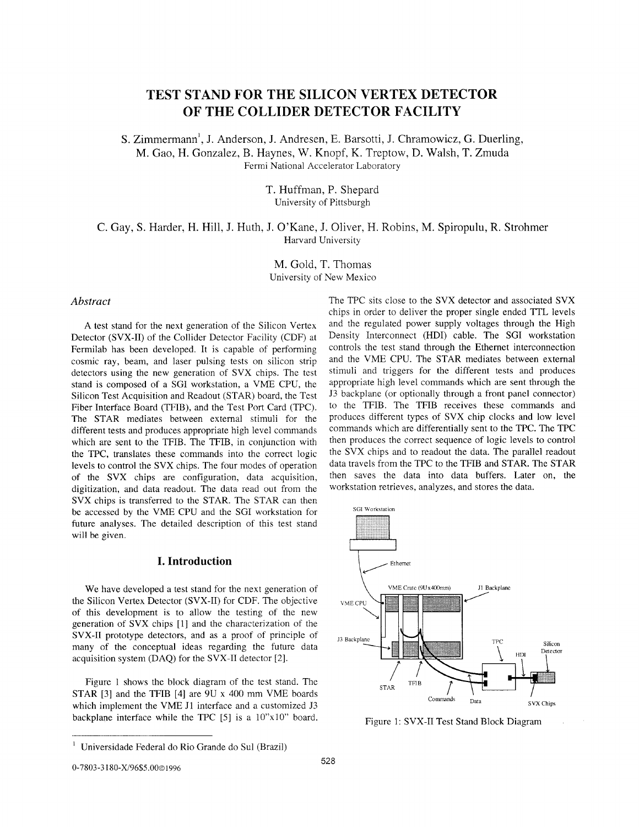## **TEST STAND FOR THE SILICON VERTEX DETECTOR OF THE COLLIDER DETECTOR FACILITY**

**S.** Zimmermann', J. Anderson, J. Andresen, E. Barsotti, J. Chramowicz, G. Duerling, M. Gao, H. Gonzalez, B. Haynes, W. Knopf, K. Treptow, D. Walsh, T. Zmuda Fermi National Accelerator Laboratory

> T. Huffman, P. Shepard University of Pittsburgh

### C. Gay, **S.** Harder, H. Hill, J. Huth, J. O'Kane, J. Oliver, H. Robins, M. Spiropulu, R. Strohmer Harvard University

M. Gold, T. Thomas University of New Mexico

#### *Abstract*

A test stand for the next generation of the Silicon Vertex Detector (SVX-11) of the Collider Detector Facility (CDF) at Fermilab has been developed. It is capable of performing cosmic ray, beam, and laser pulsing tests on silicon strip detectors using the new generation of SVX chips. The test stand is composed of a SGI workstation, a VME CPU, the Silicon Test Acquisition and Readout (STAR) board, the Test Fiber Interface Board (TFIB), and the Test Port Card (TPC). The STAR mediates between external stimuli for the different tests and produces appropriate high level commands which are sent to the TFIB. The TFIB, in conjunction with the TPC, translates these commands into the correct logic levels to control the SVX chips. The four modes of operation of the SVX chips are configuration, data acquisition, digitization, and data readout. The data read out from the SVX chips is transferred to the STAR. The STAR can then be accessed by the VME CPU and the SGI workstation for future analyses. The detailed description of this test stand will be given.

#### **I. Introduction**

We have developed a test stand for the next generation of the Silicon Vertex Detector (SVX-11) for CDF. The objective of this development is to allow the testing of the new generation of SVX chips [l] and the characterization of the SVX-I1 prototype detectors, and as a proof of principle of many of the conceptual ideas regarding the future data acquisition system (DAQ) for the SVX-I1 detector *[2].* 

Figure 1 shows the block diagram of the test stand. The STAR [3] and the TFIB [4] are 9U **x** 400 mm VME boards which implement the VME J1 interface and a customized J3 backplane interface while the TPC [5] is a 10"x10" board. The TPC sits close to the SVX detector and associated SVX chips in order to deliver the proper single ended TTL levels and the regulated power supply voltages through the High Density Interconnect (HDI) cable. The SGI workstation controls the test stand through the Ethernet interconnection and the VME CPU. The STAR mediates between external stimuli and triggers for the different tests and produces appropriate high level commands which are sent through the J3 backplane (or optionally through a front panel connector) to the FIB. The TFIB receives these commands and produces different types of SVX chip clocks and low level commands which are differentially sent to the TPC. The TPC then produces the correct sequence of logic levels to control the SVX chips and to readout the data. The parallel readout data travels from the TPC to the TFIB and STAR. The STAR then saves the data into data buffers. Later on, the workstation retrieves, analyzes, and stores the data.



Figure 1: SVX-I1 Test Stand Block Diagram

0-7803-3 180-X/96\$5.0001996

<sup>&#</sup>x27; Universidade Federal do Rio Grande do Sul (Brazil)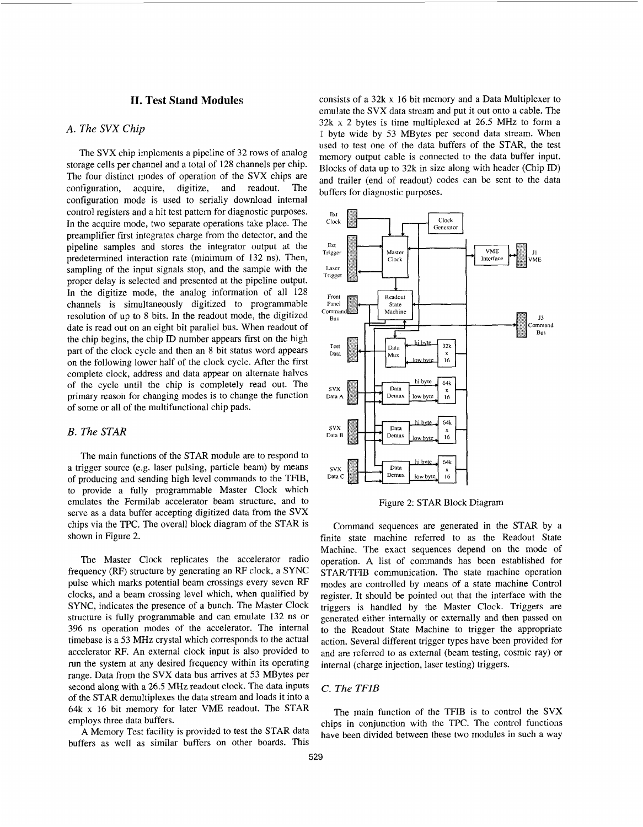#### **11. Test Stand Modules**

#### *A. The SVX Chip*

The SVX chip implements a pipeline of 32 rows of analog storage cells per channel and a total of 128 channels per chip. The four distinct modes of operation of the SVX chips are configuration, acquire, digitize, and readout. The configuration mode is used to serially download internal control registers and a hit test pattern for diagnostic purposes. In the acquire mode, two separate operations take place. The preamplifier first integrates charge from the detector, and the pipeline samples and stores the integrator output at the predetermined interaction rate (minimum of 132 ns). Then, sampling of the input signals stop, and the sample with the proper delay is selected and presented at the pipeline output. In the digitize mode, the analog information of all 128 channels is simultaneously digitized to programmable resolution of up to 8 bits. In the readout mode, the digitized date is read out on an eight bit parallel bus. When readout of the chip begins, the chip ID number appears first on the high part of the clock cycle and then an 8 bit status word appears on the following lower half of the clock cycle. After the first complete clock, address and data appear on alternate halves of the cycle until the chip is completely read out. The primary reason for changing modes is to change the function of some or all of the multifunctional chip pads.

#### *B. The STAR*

The main functions of the STAR module are to respond to a trigger source (e.g. laser pulsing, particle beam) by means of producing and sending high level commands to the TFTB, to provide a fully programmable Master Clock which emulates the Fermilab accelerator beam structure, and to serve as a data buffer accepting digitized data from the SVX chips via the TPC. The overall block diagram of the STAR is shown in Figure 2.

The Master Clock replicates the accelerator radio frequency (RF) structure by generating an RF clock, a SYNC pulse which marks potential beam crossings every seven RF clocks, and a beam crossing level which, when qualified by SYNC, indicates the presence of a bunch. The Master Clock structure is fully programmable and can emulate 132 ns or 396 ns operation modes of the accelerator. The internal timebase is a 53 MHz crystal which corresponds to the actual accelerator RF. An external clock input is also provided to run the system at any desired frequency within its operating range. Data from the SVX data bus arrives at *53* MBytes per second along with a 26.5 MHz readout clock. The data **inputs**  of the STAR demultiplexes the data stream and loads it into a 64k **x** 16 bit memory for later VME readout. The STAR employs three data buffers.

A Memory Test facility is provided to test the STAR data buffers as well as similar buffers on other boards. This

consists of a **32k** x 16 bit memory and a Data Multiplexer to emulate the SVX data stream and put it out onto a cable. The 32k x 2 bytes is time multiplexed at 26.5 MHz to form a 1 byle wide by *53* MBytes per second data stream. When used to test one of the data buffers of the STAR, the test memory output cable is connected to the data buffer input. Blocks of data up to 32k in size along with header (Chip ID) and trailer (end of readout) codes can be sent to the data buffers for diagnostic purposes.



Figure 2: STAR Block Diagram

Command sequences are generated in the STAR by a finite state machine referred to as the Readout State Machine. The exact sequences depend on the mode of operation. A list of commands has been established for STAWTFIB communication. The state machine operation modes are controlled by means of a state machine Control register. It should be pointed out that the interface with the triggers is handled by the Master Clock. Triggers are generated either internally or externally and then passed on to the Readout State Machine to trigger the appropriate action. Several different trigger types have been provided for and are referred to as external (beam testing, cosmic ray) or internal (charge injection, laser testing) triggers.

#### *C. The TFIB*

The main function of the TFIB is to control the SVX chips in conjunction with the TPC. The control functions have been divided between these two modules in such a way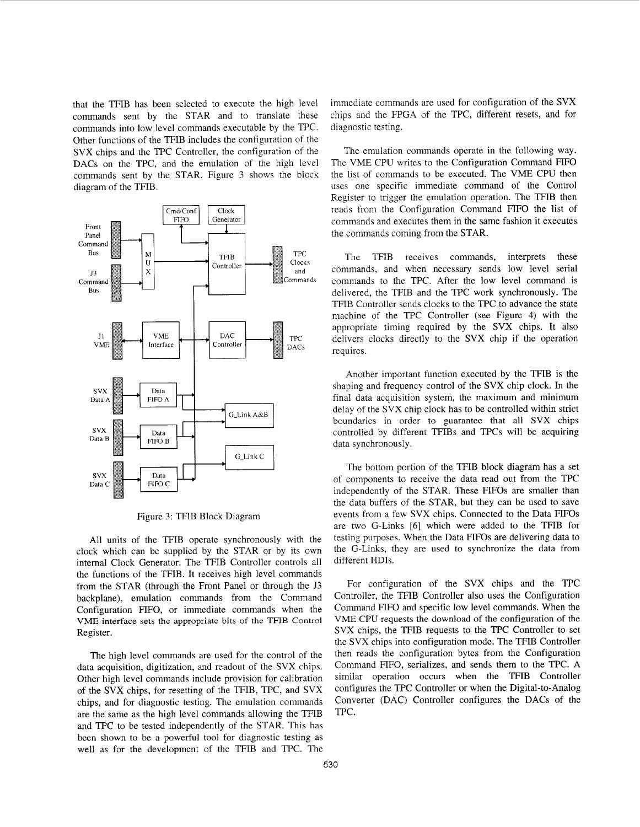that the FIB has been selected to execute the high level commands sent by the STAR and to translate these commands into low level commands executable by the TPC. Other functions of the TFIB includes the configuration of the SVX chips and the TPC Controller, the configuration of the DACs on the TPC, and the emulation of the high level commands sent by the STAR. Figure 3 shows the block diagram of the TFIB.



Figure 3: TFIB Block Diagram

All units of the TFIB operate synchronously with the clock which can be supplied by the STAR or by its own internal Clock Generator. The TFIB Controller controls all the functions of the TFIB. It receives high level commands from the STAR (through the Front Panel or through the J3 backplane), emulation commands from the Command Configuration FIFO, or immediate commands when the **VME** interface sets the appropriate bits of the TFTB Control Register.

The high level commands are used for the control of the data acquisition, digitization, and readout of the SVX chips. Other high level commands include provision for calibration of the SVX chips, for resetting of the TFIB, TPC, and SVX chips, and for diagnostic testing. The emulation commands are the same as the high level commands allowing the TFIB and TPC to be tested independently of the STAR. This has been shown to be a powerful tool for diagnostic testing as well as for the development of the TFIB and TPC. The

immediate commands are used for configuration of the SVX chips and the PGA of the TPC, different resets, and for diagnostic testing.

The emulation commands operate in the following way. The VME CPU writes to the Configuration Command FIFO the list of commands to be executed. The VME CPU then uses one specific immediate command of the Control Register to trigger the emulation operation. The TFIB then reads from the Configuration Command FIFO the list of commands and executes them in the same fashion it executes the commands coming from the STAR.

The TFIB receives commands, interprets these commands, and when necessary sends low level serial commands to the TPC. After the low level command is delivered, the TFIB and the TPC work synchronously. The TFIB Controller sends clocks to the TPC to advance the state machine of the TPC Controller (see Figure 4) with the appropriate timing required by the SVX chips. It also delivers clocks directly to the SVX chip if the operation requires.

Another important function executed by the TFIB is the shaping and frequency control of the SVX chip clock. In the final data acquisition system, the maximum and minimum delay of the SVX chip clock has to be controlled within strict boundaries in order to guarantee that all SVX chips controlled by different TFIBs and TpCs will be acquiring data synchronously.

The bottom portion of the TFIB block diagram has a set of components to receive the data read out from the TPC independently of the STAR. These FIFOs are smaller than the data buffers of the STAR, but they can be used to save events from a few SVX chips. Connected to the Data FIFOs are two G-Links [6] which were added to the TFIB for testing purposes. When the Data FIFOs are delivering data to the G-Links, they are used to synchronize the data from different HDIs.

For configuration of the SVX chips and the TPC Controller, the TFIB Controller also uses the Configuration Command FIFO and specific low level commands. When the VME CPU requests the download of the configuration of the SVX chips, the TFIB requests to the TPC Controller to set the SVX chips into configuration mode. The TFIB Controller then reads the configuration bytes from the Configuration Command FIFO, serializes, and sends them to the TPC. A similar operation occurs when the TFIB Controller configures the TPC Controller or when the Digital-to-Analog Converter (DAC) Controller configures the DACs of the TPC.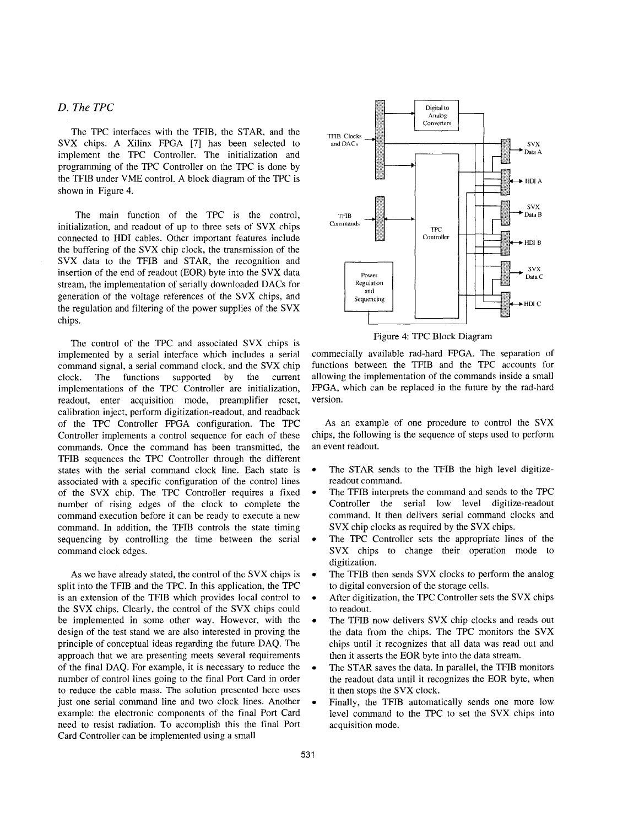#### *D. The TPC*

The TPC interfaces with the TFIB, the STAR, and the SVX chips. A Xilinx FFGA [7] has been selected to implement the TPC Controller. The initialization and programming of the TPC Controller on the TPC is done by the TFIB under VME control. A block diagram of the TPC is shown in Figure 4.

The main function of the TPC is the control, initialization, and readout of up to three sets of SVX chips connected to HDI cables. Other important features include the buffering of the SVX chip clock, the transmission of the SVX data to the TFIB and STAR, the recognition and insertion of the end of readout (EOR) byte into the SVX data stream, the implementation of serially downloaded DACs for generation of the voltage references of the SVX chips, and the regulation and filtering of the power supplies of the SVX chips.

The control of the TPC and associated SVX chips is implemented by a serial interface which includes a serial command signal, a serial command clock, and the SVX chip clock. The functions supported by the current implementations of the TPC Controller arc initialization, readout, enter acquisition mode, preamplifier reset, calibration inject, perform digitization-readout, and readback of the TPC Controller PGA configuration. The TPC Controller implements a control sequence for each of these commands. Once the command has been transmitted, the TFIB sequences the TPC Controller through the different states with the serial command clock line. Each state is associated with a specific configuration of the control lines of the SVX chip. The TPC Controller requires a fixed number of rising edges of the clock to complete the command execution before it can be ready to execute a new command. In addition, the TFIB controls the state timing sequencing by controlling the time between the serial command clock edges.

As we have already stated, the control of the SVX chips is split into the TFIB and the TPC. In this application, the TPC is an extension of the TFIB which provides local control to the SVX chips. Clearly, the control of the SVX chips could be implemented in some other way. However, with the design of the test stand we are also interested in proving the principle of conceptual ideas regarding the future DAQ. The approach that we are presenting meets several requirements of the final DAQ. For example, it is necessary to reduce the number of control lines going to the final Port Card in order to reduce the cable **mass.** The solution presented here uses just one serial command line and two clock lines. Another example: the electronic components of the final Port Card need to resist radiation. To accomplish this ithe final Port Card Controller can be implemented using a small



Figure 4: TPC Block Diagram

commecially available rad-hard FPGA. The separation of functions between the FIB and the TPC accounts for allowing the implementation of the commands inside a small FPGA, which can be replaced in the future by the rad-hard version.

As an example of one procedure to control the SVX chips, the following is the sequence of steps used to perform an event readout.

- $\bullet$ The STAR sends to the TFIB the high level digitizereadout command.
- The TFIB interprets the command and sends to the TPC Controller the serial low level digitize-readout cornmand. It then delivers serial command clocks and SVX chip clocks as required by the SVX chips.
- The TPC Controller sets the appropriate lines of the SVX chips to change their operation mode to digitization.
- The TFIB then sends SVX clocks to perform the analog to digital conversion of the storage cells.
- After digitization, the TPC Controller sets the SVX chips  $\blacksquare$ to readout.
- The TFIB now delivers SVX chip clocks and reads out the data from the chips. The TPC monitors the SVX chips until it recognizes that all data was read out and then it asserts the EOR byte into the data stream.
- $\bullet$ The STAR saves the data. In parallel, the TFIB monitors the readout data until it recognizes the EOR byte, when it then stops the **SVX** clock.
- $\bullet$ Finally, the TFIB automatically sends one more low level command to the TPC to set the SVX chips into acquisition mode.